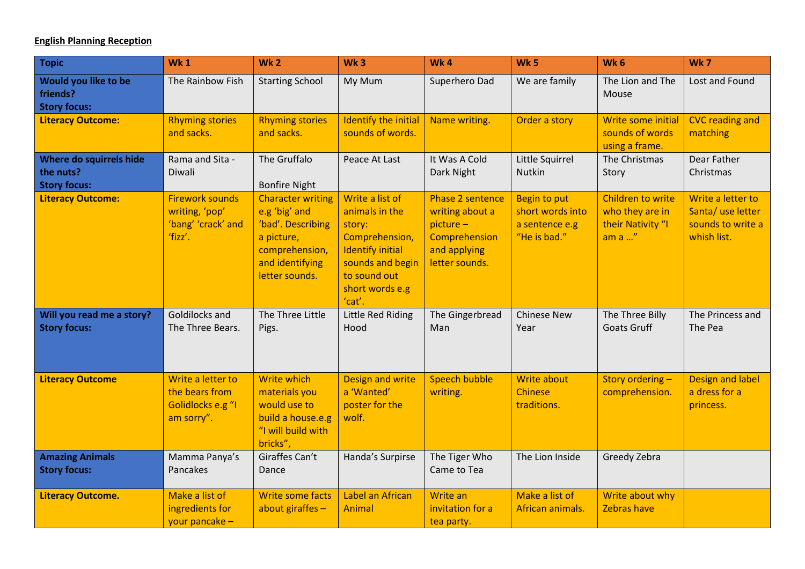## **English Planning Reception**

| <b>Topic</b>                                                | Wk <sub>1</sub>                                                           | <b>Wk 2</b>                                                                                                                         | Wk <sub>3</sub>                                                                                                                                           | Wk <sub>4</sub>                                                                                       | <b>Wk 5</b>                                                               | Wk <sub>6</sub>                                                      | Wk7                                                                        |
|-------------------------------------------------------------|---------------------------------------------------------------------------|-------------------------------------------------------------------------------------------------------------------------------------|-----------------------------------------------------------------------------------------------------------------------------------------------------------|-------------------------------------------------------------------------------------------------------|---------------------------------------------------------------------------|----------------------------------------------------------------------|----------------------------------------------------------------------------|
| Would you like to be<br>friends?<br><b>Story focus:</b>     | The Rainbow Fish                                                          | <b>Starting School</b>                                                                                                              | My Mum                                                                                                                                                    | Superhero Dad                                                                                         | We are family                                                             | The Lion and The<br>Mouse                                            | Lost and Found                                                             |
| <b>Literacy Outcome:</b>                                    | <b>Rhyming stories</b><br>and sacks.                                      | <b>Rhyming stories</b><br>and sacks.                                                                                                | Identify the initial<br>sounds of words.                                                                                                                  | Name writing.                                                                                         | Order a story                                                             | Write some initial<br>sounds of words<br>using a frame.              | <b>CVC reading and</b><br>matching                                         |
| Where do squirrels hide<br>the nuts?<br><b>Story focus:</b> | Rama and Sita -<br>Diwali                                                 | The Gruffalo<br><b>Bonfire Night</b>                                                                                                | Peace At Last                                                                                                                                             | It Was A Cold<br>Dark Night                                                                           | Little Squirrel<br>Nutkin                                                 | The Christmas<br>Story                                               | Dear Father<br>Christmas                                                   |
| <b>Literacy Outcome:</b>                                    | <b>Firework sounds</b><br>writing, 'pop'<br>'bang' 'crack' and<br>'fizz'. | <b>Character writing</b><br>e.g 'big' and<br>'bad'. Describing<br>a picture,<br>comprehension,<br>and identifying<br>letter sounds. | Write a list of<br>animals in the<br>story:<br>Comprehension,<br><b>Identify initial</b><br>sounds and begin<br>to sound out<br>short words e.g<br>'cat'. | Phase 2 sentence<br>writing about a<br>$picture -$<br>Comprehension<br>and applying<br>letter sounds. | <b>Begin to put</b><br>short words into<br>a sentence e.g<br>"He is bad." | Children to write<br>who they are in<br>their Nativity "I<br>am a '' | Write a letter to<br>Santa/ use letter<br>sounds to write a<br>whish list. |
| Will you read me a story?<br><b>Story focus:</b>            | Goldilocks and<br>The Three Bears.                                        | The Three Little<br>Pigs.                                                                                                           | Little Red Riding<br>Hood                                                                                                                                 | The Gingerbread<br>Man                                                                                | <b>Chinese New</b><br>Year                                                | The Three Billy<br><b>Goats Gruff</b>                                | The Princess and<br>The Pea                                                |
| <b>Literacy Outcome</b>                                     | Write a letter to<br>the bears from<br>Golidlocks e.g "I<br>am sorry".    | <b>Write which</b><br>materials you<br>would use to<br>build a house.e.g<br>"I will build with<br>bricks",                          | Design and write<br>a 'Wanted'<br>poster for the<br>wolf.                                                                                                 | <b>Speech bubble</b><br>writing.                                                                      | <b>Write about</b><br><b>Chinese</b><br>traditions.                       | Story ordering-<br>comprehension.                                    | Design and label<br>a dress for a<br>princess.                             |
| <b>Amazing Animals</b><br><b>Story focus:</b>               | Mamma Panya's<br>Pancakes                                                 | Giraffes Can't<br>Dance                                                                                                             | Handa's Surpirse                                                                                                                                          | The Tiger Who<br>Came to Tea                                                                          | The Lion Inside                                                           | Greedy Zebra                                                         |                                                                            |
| <b>Literacy Outcome.</b>                                    | Make a list of<br>ingredients for<br>your pancake -                       | <b>Write some facts</b><br>about giraffes $-$                                                                                       | Label an African<br>Animal                                                                                                                                | Write an<br>invitation for a<br>tea party.                                                            | Make a list of<br>African animals.                                        | Write about why<br><b>Zebras have</b>                                |                                                                            |